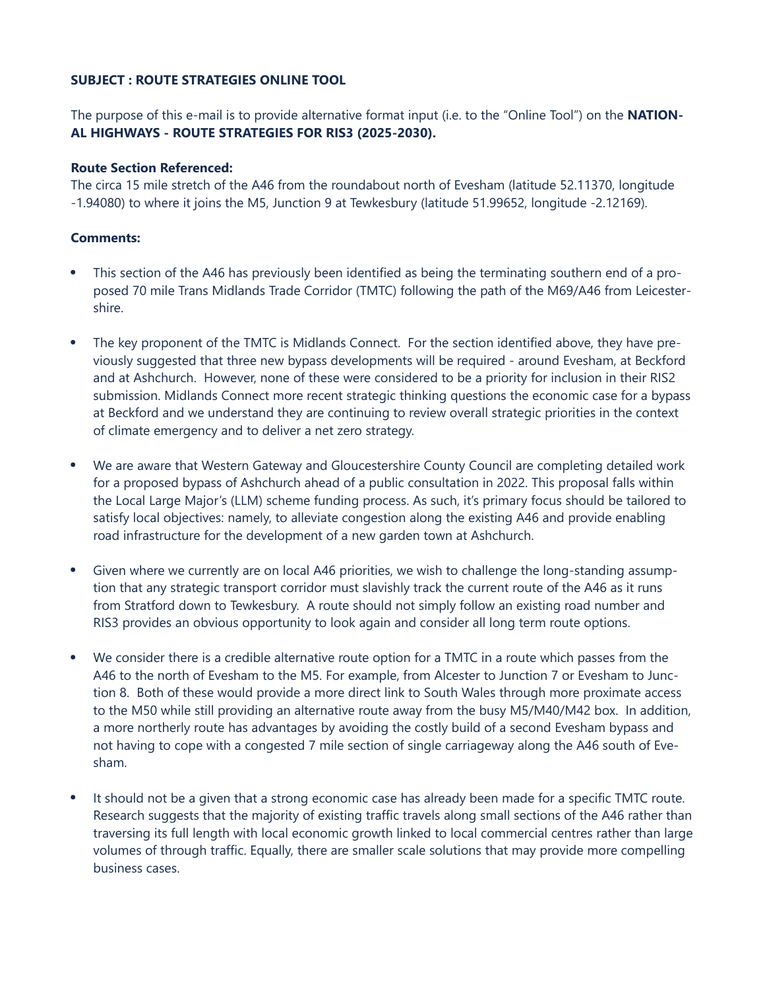## **SUBJECT : ROUTE STRATEGIES ONLINE TOOL**

The purpose of this e-mail is to provide alternative format input (i.e. to the "Online Tool") on the **NATION-AL HIGHWAYS - ROUTE STRATEGIES FOR RIS3 (2025-2030).**

## **Route Section Referenced:**

The circa 15 mile stretch of the A46 from the roundabout north of Evesham (latitude 52.11370, longitude -1.94080) to where it joins the M5, Junction 9 at Tewkesbury (latitude 51.99652, longitude -2.12169).

## **Comments:**

- This section of the A46 has previously been identified as being the terminating southern end of a proposed 70 mile Trans Midlands Trade Corridor (TMTC) following the path of the M69/A46 from Leicestershire.
- The key proponent of the TMTC is Midlands Connect. For the section identified above, they have previously suggested that three new bypass developments will be required - around Evesham, at Beckford and at Ashchurch. However, none of these were considered to be a priority for inclusion in their RIS2 submission. Midlands Connect more recent strategic thinking questions the economic case for a bypass at Beckford and we understand they are continuing to review overall strategic priorities in the context of climate emergency and to deliver a net zero strategy.
- We are aware that Western Gateway and Gloucestershire County Council are completing detailed work for a proposed bypass of Ashchurch ahead of a public consultation in 2022. This proposal falls within the Local Large Major's (LLM) scheme funding process. As such, it's primary focus should be tailored to satisfy local objectives: namely, to alleviate congestion along the existing A46 and provide enabling road infrastructure for the development of a new garden town at Ashchurch.
- Given where we currently are on local A46 priorities, we wish to challenge the long-standing assumption that any strategic transport corridor must slavishly track the current route of the A46 as it runs from Stratford down to Tewkesbury. A route should not simply follow an existing road number and RIS3 provides an obvious opportunity to look again and consider all long term route options.
- We consider there is a credible alternative route option for a TMTC in a route which passes from the A46 to the north of Evesham to the M5. For example, from Alcester to Junction 7 or Evesham to Junction 8. Both of these would provide a more direct link to South Wales through more proximate access to the M50 while still providing an alternative route away from the busy M5/M40/M42 box. In addition, a more northerly route has advantages by avoiding the costly build of a second Evesham bypass and not having to cope with a congested 7 mile section of single carriageway along the A46 south of Evesham.
- It should not be a given that a strong economic case has already been made for a specific TMTC route. Research suggests that the majority of existing traffic travels along small sections of the A46 rather than traversing its full length with local economic growth linked to local commercial centres rather than large volumes of through traffic. Equally, there are smaller scale solutions that may provide more compelling business cases.